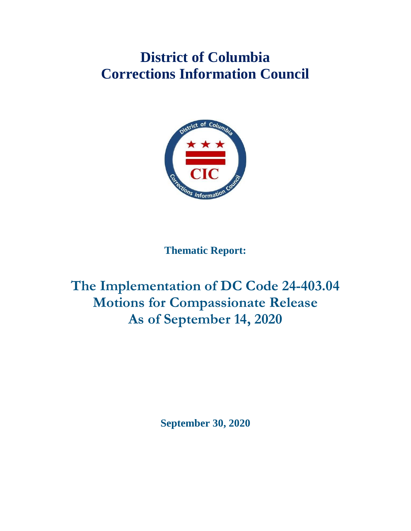# **District of Columbia Corrections Information Council**



**Thematic Report:**

# **The Implementation of DC Code 24-403.04 Motions for Compassionate Release As of September 14, 2020**

**September 30, 2020**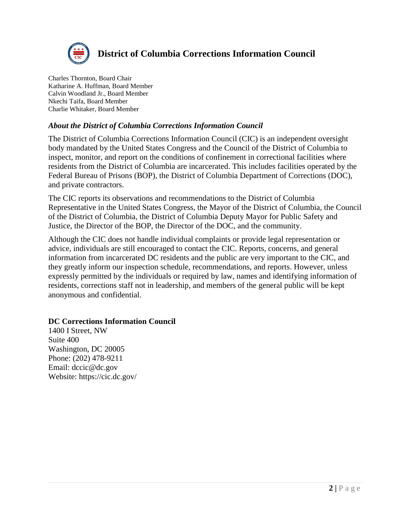

### **District of Columbia Corrections Information Council**

Charles Thornton, Board Chair Katharine A. Huffman, Board Member Calvin Woodland Jr., Board Member Nkechi Taifa, Board Member Charlie Whitaker, Board Member

#### *About the District of Columbia Corrections Information Council*

The District of Columbia Corrections Information Council (CIC) is an independent oversight body mandated by the United States Congress and the Council of the District of Columbia to inspect, monitor, and report on the conditions of confinement in correctional facilities where residents from the District of Columbia are incarcerated. This includes facilities operated by the Federal Bureau of Prisons (BOP), the District of Columbia Department of Corrections (DOC), and private contractors.

The CIC reports its observations and recommendations to the District of Columbia Representative in the United States Congress, the Mayor of the District of Columbia, the Council of the District of Columbia, the District of Columbia Deputy Mayor for Public Safety and Justice, the Director of the BOP, the Director of the DOC, and the community.

Although the CIC does not handle individual complaints or provide legal representation or advice, individuals are still encouraged to contact the CIC. Reports, concerns, and general information from incarcerated DC residents and the public are very important to the CIC, and they greatly inform our inspection schedule, recommendations, and reports. However, unless expressly permitted by the individuals or required by law, names and identifying information of residents, corrections staff not in leadership, and members of the general public will be kept anonymous and confidential.

#### **DC Corrections Information Council**

1400 I Street, NW Suite 400 Washington, DC 20005 Phone: (202) 478-9211 Email: dccic@dc.gov Website: https://cic.dc.gov/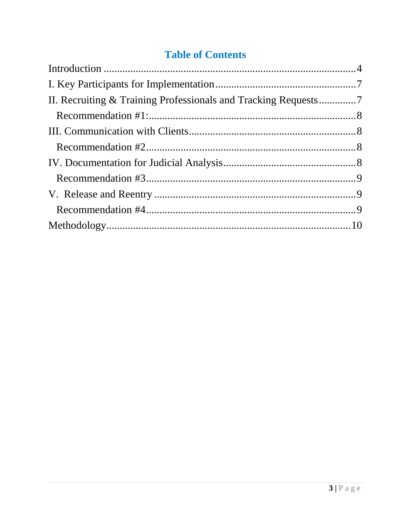# **Table of Contents**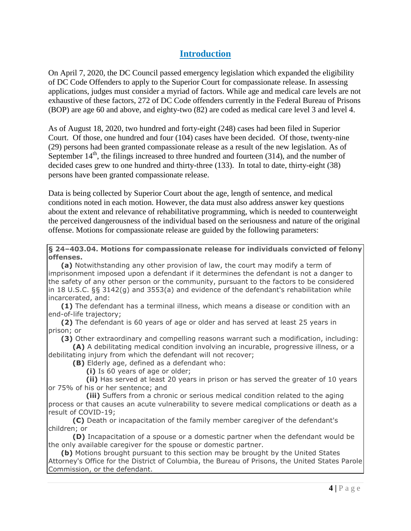#### **Introduction**

<span id="page-3-0"></span>On April 7, 2020, the DC Council passed emergency legislation which expanded the eligibility of DC Code Offenders to apply to the Superior Court for compassionate release. In assessing applications, judges must consider a myriad of factors. While age and medical care levels are not exhaustive of these factors, 272 of DC Code offenders currently in the Federal Bureau of Prisons (BOP) are age 60 and above, and eighty-two (82) are coded as medical care level 3 and level 4.

As of August 18, 2020, two hundred and forty-eight (248) cases had been filed in Superior Court. Of those, one hundred and four (104) cases have been decided. Of those, twenty-nine (29) persons had been granted compassionate release as a result of the new legislation. As of September  $14<sup>th</sup>$ , the filings increased to three hundred and fourteen (314), and the number of decided cases grew to one hundred and thirty-three (133). In total to date, thirty-eight (38) persons have been granted compassionate release.

Data is being collected by Superior Court about the age, length of sentence, and medical conditions noted in each motion. However, the data must also address answer key questions about the extent and relevance of rehabilitative programming, which is needed to counterweight the perceived dangerousness of the individual based on the seriousness and nature of the original offense. Motions for compassionate release are guided by the following parameters:

**§ 24–403.04. Motions for compassionate release for individuals convicted of felony offenses.**

**(a)** Notwithstanding any other provision of law, the court may modify a term of imprisonment imposed upon a defendant if it determines the defendant is not a danger to the safety of any other person or the community, pursuant to the factors to be considered in 18 U.S.C. §§ 3142(g) and 3553(a) and evidence of the defendant's rehabilitation while incarcerated, and:

**(1)** The defendant has a terminal illness, which means a disease or condition with an end-of-life trajectory;

**(2)** The defendant is 60 years of age or older and has served at least 25 years in prison; or

**(3)** Other extraordinary and compelling reasons warrant such a modification, including:

**(A)** A debilitating medical condition involving an incurable, progressive illness, or a debilitating injury from which the defendant will not recover;

**(B)** Elderly age, defined as a defendant who:

 **(i)** Is 60 years of age or older;

 **(ii)** Has served at least 20 years in prison or has served the greater of 10 years or 75% of his or her sentence; and

 **(iii)** Suffers from a chronic or serious medical condition related to the aging process or that causes an acute vulnerability to severe medical complications or death as a result of COVID-19;

**(C)** Death or incapacitation of the family member caregiver of the defendant's children; or

**(D)** Incapacitation of a spouse or a domestic partner when the defendant would be the only available caregiver for the spouse or domestic partner.

**(b)** Motions brought pursuant to this section may be brought by the United States Attorney's Office for the District of Columbia, the Bureau of Prisons, the United States Parole Commission, or the defendant.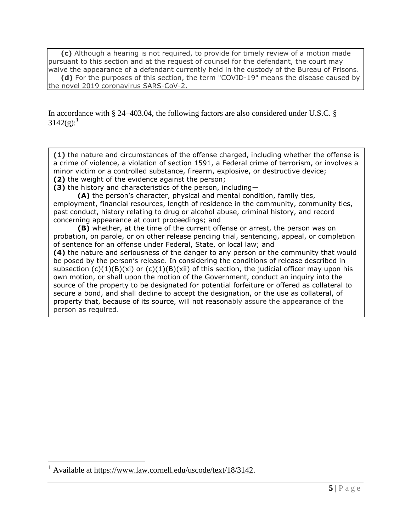**(c)** Although a hearing is not required, to provide for timely review of a motion made pursuant to this section and at the request of counsel for the defendant, the court may waive the appearance of a defendant currently held in the custody of the Bureau of Prisons. **(d)** For the purposes of this section, the term "COVID-19" means the disease caused by the novel 2019 coronavirus SARS-CoV-2.

In accordance with § 24–403.04, the following factors are also considered under U.S.C. §  $3142(g):$ <sup>1</sup>

**(1)** the nature and circumstances of the [offense](https://www.law.cornell.edu/definitions/uscode.php?width=840&height=800&iframe=true&def_id=18-USC-1548815702-833647311&term_occur=999&term_src=title:18:part:II:chapter:207:section:3142) charged, including whether the [offense](https://www.law.cornell.edu/definitions/uscode.php?width=840&height=800&iframe=true&def_id=18-USC-1548815702-833647311&term_occur=999&term_src=title:18:part:II:chapter:207:section:3142) is a [crime of violence,](https://www.law.cornell.edu/definitions/uscode.php?width=840&height=800&iframe=true&def_id=18-USC-2142776470-833647313&term_occur=999&term_src=title:18:part:II:chapter:207:section:3142) a violation of section 1591, a Federal crime of terrorism, or involves a minor victim or a controlled substance, firearm, explosive, or destructive device; **(2)** the weight of the evidence against the person;

**(3)** the history and characteristics of the person, including—

**(A)** the person's character, physical and mental condition, family ties, employment, financial resources, length of residence in the community, community ties, past conduct, history relating to drug or alcohol abuse, criminal history, and record concerning appearance at court proceedings; and

**(B)** whether, at the time of the current [offense](https://www.law.cornell.edu/definitions/uscode.php?width=840&height=800&iframe=true&def_id=18-USC-1548815702-833647311&term_occur=999&term_src=title:18:part:II:chapter:207:section:3142) or arrest, the person was on probation, on parole, or on other release pending trial, sentencing, appeal, or completion of sentence for an [offense](https://www.law.cornell.edu/definitions/uscode.php?width=840&height=800&iframe=true&def_id=18-USC-1548815702-833647311&term_occur=999&term_src=title:18:part:II:chapter:207:section:3142) under Federal, [State,](https://www.law.cornell.edu/definitions/uscode.php?width=840&height=800&iframe=true&def_id=18-USC-80204913-833647314&term_occur=999&term_src=title:18:part:II:chapter:207:section:3142) or local law; and

**(4)** the nature and seriousness of the danger to any person or the community that would be posed by the person's release. In considering the conditions of release described in subsection  $(c)(1)(B)(xi)$  or  $(c)(1)(B)(xii)$  of this section, the [judicial officer](https://www.law.cornell.edu/definitions/uscode.php?width=840&height=800&iframe=true&def_id=18-USC-1310131767-833648271&term_occur=999&term_src=title:18:part:II:chapter:207:section:3142) may upon his own motion, or shall upon the motion of the Government, conduct an inquiry into the source of the property to be designated for potential forfeiture or offered as collateral to secure a bond, and shall decline to accept the designation, or the use as collateral, of property that, because of its source, will not reasonably assure the appearance of the person as required.

 $\overline{a}$ 

<sup>&</sup>lt;sup>1</sup> Available at [https://www.law.cornell.edu/uscode/text/18/3142.](https://www.law.cornell.edu/uscode/text/18/3142)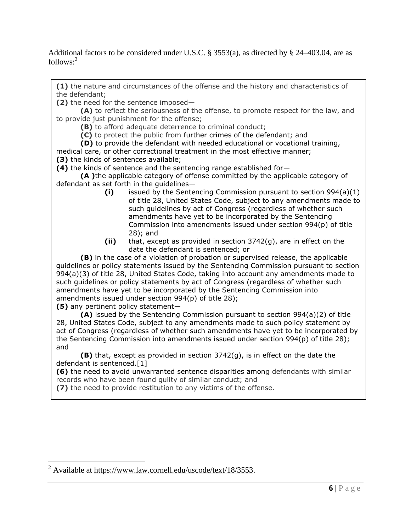Additional factors to be considered under U.S.C. § 3553(a), as directed by § 24–403.04, are as follows: 2

**(1)** the nature and circumstances of the offense and the history and characteristics of the defendant;

**(2)** the need for the sentence imposed—

**(A)** to reflect the seriousness of the offense, to promote respect for the law, and to provide just punishment for the offense;

**(B)** to afford adequate deterrence to criminal conduct;

**(C)** to protect the public from further crimes of the defendant; and

**(D)** to provide the defendant with needed educational or vocational training,

medical care, or other correctional treatment in the most effective manner; **(3)** the kinds of sentences available;

**(4)** the kinds of sentence and the sentencing range established for—

**(A )**the applicable category of offense committed by the applicable category of defendant as set forth in the guidelines—

- **(i)** issued by the Sentencing Commission pursuant to [section 994\(a\)\(1\)](https://www.law.cornell.edu/uscode/text/28/994#a_1)  [of title 28,](https://www.law.cornell.edu/uscode/text/28/994#a_1) United States Code, subject to any amendments made to such guidelines by act of Congress (regardless of whether such amendments have yet to be incorporated by the Sentencing Commission into amendments issued under [section 994\(p\) of title](https://www.law.cornell.edu/uscode/text/28/994#p)  [28\)](https://www.law.cornell.edu/uscode/text/28/994#p); and
- **(ii)** that, except as provided in section 3742(g), are in effect on the date the defendant is sentenced; or

**(B)** in the case of a violation of probation or supervised release, the applicable guidelines or policy statements issued by the Sentencing Commission pursuant to [section](https://www.law.cornell.edu/uscode/text/28/994#a_3)  [994\(a\)\(3\) of title 28,](https://www.law.cornell.edu/uscode/text/28/994#a_3) United States Code, taking into account any amendments made to such guidelines or policy statements by act of Congress (regardless of whether such amendments have yet to be incorporated by the Sentencing Commission into amendments issued under section [994\(p\) of title 28\)](https://www.law.cornell.edu/uscode/text/28/994#p);

**(5)** any pertinent policy statement—

 $\overline{a}$ 

**(A)** issued by the Sentencing Commission pursuant to [section 994\(a\)\(2\) of title](https://www.law.cornell.edu/uscode/text/28/994#a_2)  [28,](https://www.law.cornell.edu/uscode/text/28/994#a_2) United States Code, subject to any amendments made to such policy statement by act of Congress (regardless of whether such amendments have yet to be incorporated by the Sentencing Commission into amendments issued under [section 994\(p\) of title 28\)](https://www.law.cornell.edu/uscode/text/28/994#p); and

**(B)** that, except as provided in section 3742(g), is in effect on the date the defendant is sentenced[.\[1\]](https://www.law.cornell.edu/uscode/text/18/3553#fn002243)

**(6)** the need to avoid unwarranted sentence disparities among defendants with similar records who have been found guilty of similar conduct; and

**(7)** the need to provide restitution to any victims of the offense.

 $^{2}$  Available at [https://www.law.cornell.edu/uscode/text/18/3553.](https://www.law.cornell.edu/uscode/text/18/3553)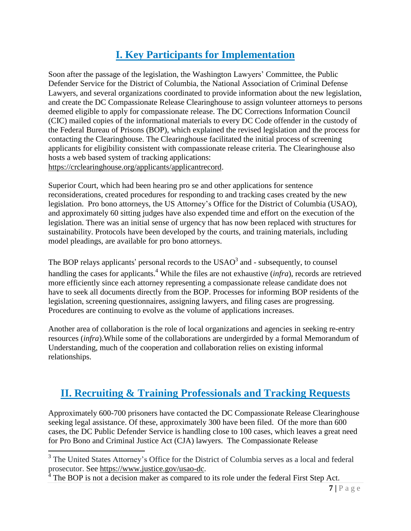# **I. Key Participants for Implementation**

<span id="page-6-0"></span>Soon after the passage of the legislation, the Washington Lawyers' Committee, the Public Defender Service for the District of Columbia, the National Association of Criminal Defense Lawyers, and several organizations coordinated to provide information about the new legislation, and create the DC Compassionate Release Clearinghouse to assign volunteer attorneys to persons deemed eligible to apply for compassionate release. The DC Corrections Information Council (CIC) mailed copies of the informational materials to every DC Code offender in the custody of the Federal Bureau of Prisons (BOP), which explained the revised legislation and the process for contacting the Clearinghouse. The Clearinghouse facilitated the initial process of screening applicants for eligibility consistent with compassionate release criteria. The Clearinghouse also hosts a web based system of tracking applications: [https://crclearinghouse.org/applicants/applicantrecord.](https://crclearinghouse.org/applicants/applicantrecord)

Superior Court, which had been hearing pro se and other applications for sentence reconsiderations, created procedures for responding to and tracking cases created by the new legislation. Pro bono attorneys, the US Attorney's Office for the District of Columbia (USAO), and approximately 60 sitting judges have also expended time and effort on the execution of the legislation. There was an initial sense of urgency that has now been replaced with structures for sustainability. Protocols have been developed by the courts, and training materials, including model pleadings, are available for pro bono attorneys.

The BOP relays applicants' personal records to the  $USAO<sup>3</sup>$  and - subsequently, to counsel handling the cases for applicants. <sup>4</sup> While the files are not exhaustive (*infra*), records are retrieved more efficiently since each attorney representing a compassionate release candidate does not have to seek all documents directly from the BOP. Processes for informing BOP residents of the legislation, screening questionnaires, assigning lawyers, and filing cases are progressing. Procedures are continuing to evolve as the volume of applications increases.

Another area of collaboration is the role of local organizations and agencies in seeking re-entry resources (*infra*).While some of the collaborations are undergirded by a formal Memorandum of Understanding, much of the cooperation and collaboration relies on existing informal relationships.

## <span id="page-6-1"></span>**II. Recruiting & Training Professionals and Tracking Requests**

Approximately 600-700 prisoners have contacted the DC Compassionate Release Clearinghouse seeking legal assistance. Of these, approximately 300 have been filed. Of the more than 600 cases, the DC Public Defender Service is handling close to 100 cases, which leaves a great need for Pro Bono and Criminal Justice Act (CJA) lawyers. The Compassionate Release

 $\overline{a}$ 

<sup>&</sup>lt;sup>3</sup> The United States Attorney's Office for the District of Columbia serves as a local and federal prosecutor. See [https://www.justice.gov/usao-dc.](https://www.justice.gov/usao-dc)

<sup>4</sup> The BOP is not a decision maker as compared to its role under the federal First Step Act.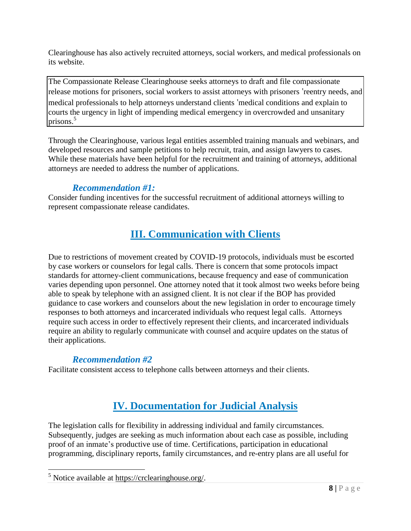Clearinghouse has also actively recruited attorneys, social workers, and medical professionals on its website.

The Compassionate Release Clearinghouse seeks attorneys to draft and file compassionate release motions for prisoners, social workers to assist attorneys with prisoners 'reentry needs, and medical professionals to help attorneys understand clients 'medical conditions and explain to courts the urgency in light of impending medical emergency in overcrowded and unsanitary prisons.<sup>5</sup>

Through the Clearinghouse, various legal entities assembled training manuals and webinars, and developed resources and sample petitions to help recruit, train, and assign lawyers to cases. While these materials have been helpful for the recruitment and training of attorneys, additional attorneys are needed to address the number of applications.

### <span id="page-7-0"></span>*Recommendation #1:*

<span id="page-7-1"></span>Consider funding incentives for the successful recruitment of additional attorneys willing to represent compassionate release candidates.

## **III. Communication with Clients**

Due to restrictions of movement created by COVID-19 protocols, individuals must be escorted by case workers or counselors for legal calls. There is concern that some protocols impact standards for attorney-client communications, because frequency and ease of communication varies depending upon personnel. One attorney noted that it took almost two weeks before being able to speak by telephone with an assigned client. It is not clear if the BOP has provided guidance to case workers and counselors about the new legislation in order to encourage timely responses to both attorneys and incarcerated individuals who request legal calls. Attorneys require such access in order to effectively represent their clients, and incarcerated individuals require an ability to regularly communicate with counsel and acquire updates on the status of their applications.

### *Recommendation #2*

<span id="page-7-3"></span><span id="page-7-2"></span>Facilitate consistent access to telephone calls between attorneys and their clients.

## **IV. Documentation for Judicial Analysis**

The legislation calls for flexibility in addressing individual and family circumstances. Subsequently, judges are seeking as much information about each case as possible, including proof of an inmate's productive use of time. Certifications, participation in educational programming, disciplinary reports, family circumstances, and re-entry plans are all useful for

 $\overline{a}$ <sup>5</sup> Notice available at [https://crclearinghouse.org/.](https://crclearinghouse.org/)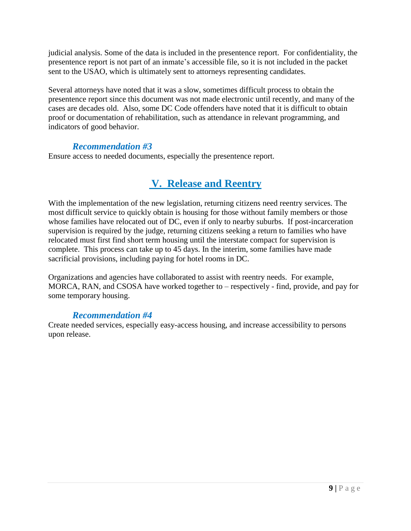judicial analysis. Some of the data is included in the presentence report. For confidentiality, the presentence report is not part of an inmate's accessible file, so it is not included in the packet sent to the USAO, which is ultimately sent to attorneys representing candidates.

Several attorneys have noted that it was a slow, sometimes difficult process to obtain the presentence report since this document was not made electronic until recently, and many of the cases are decades old. Also, some DC Code offenders have noted that it is difficult to obtain proof or documentation of rehabilitation, such as attendance in relevant programming, and indicators of good behavior.

#### *Recommendation #3*

<span id="page-8-0"></span>Ensure access to needed documents, especially the presentence report.

### <span id="page-8-1"></span>**V. Release and Reentry**

With the implementation of the new legislation, returning citizens need reentry services. The most difficult service to quickly obtain is housing for those without family members or those whose families have relocated out of DC, even if only to nearby suburbs. If post-incarceration supervision is required by the judge, returning citizens seeking a return to families who have relocated must first find short term housing until the interstate compact for supervision is complete. This process can take up to 45 days. In the interim, some families have made sacrificial provisions, including paying for hotel rooms in DC.

Organizations and agencies have collaborated to assist with reentry needs. For example, MORCA, RAN, and CSOSA have worked together to – respectively - find, provide, and pay for some temporary housing.

#### *Recommendation #4*

<span id="page-8-2"></span>Create needed services, especially easy-access housing, and increase accessibility to persons upon release.